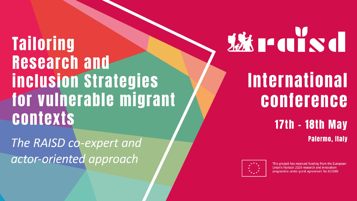**Tailoring Research and inclusion Strategies** for vulnerable migrant **contexts** 

The RAISD co-expert and actor-oriented approach

# **WEITERS**

# **International** conference

## **17th - 18th May Palermo, Italy**



This project has received funding from the European Union's Horizon 2020 research and innovation programme under grant agreement No 822688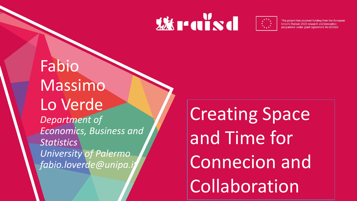# **XX raisa**



This project has received funding from the European Union's Horizon 2020 research and innovation programme under grant agreement No 822688

# Fabio Massimo Lo Verde

*Department of Economics, Business and Statistics University of Palermo fabio.loverde@unipa.it* 

Creating Space and Time for Connecion and Collaboration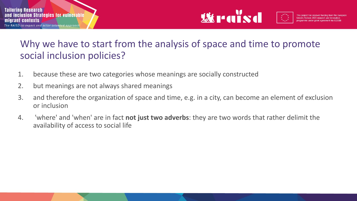

#### Why we have to start from the analysis of space and time to promote social inclusion policies?

- 1. because these are two categories whose meanings are socially constructed
- 2. but meanings are not always shared meanings
- 3. and therefore the organization of space and time, e.g. in a city, can become an element of exclusion or inclusion
- 4. 'where' and 'when' are in fact **not just two adverbs**: they are two words that rather delimit the availability of access to social life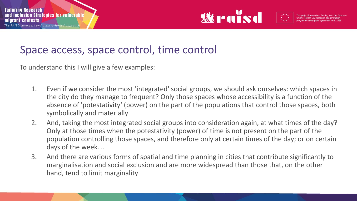

## Space access, space control, time control

To understand this I will give a few examples:

- 1. Even if we consider the most 'integrated' social groups, we should ask ourselves: which spaces in the city do they manage to frequent? Only those spaces whose accessibility is a function of the absence of 'potestativity' (power) on the part of the populations that control those spaces, both symbolically and materially
- 2. And, taking the most integrated social groups into consideration again, at what times of the day? Only at those times when the potestativity (power) of time is not present on the part of the population controlling those spaces, and therefore only at certain times of the day; or on certain days of the week…
- 3. And there are various forms of spatial and time planning in cities that contribute significantly to marginalisation and social exclusion and are more widespread than those that, on the other hand, tend to limit marginality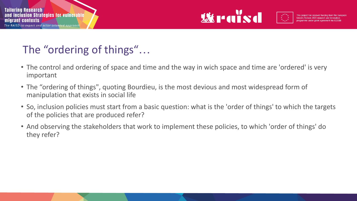

## The "ordering of things"…

- The control and ordering of space and time and the way in wich space and time are 'ordered' is very important
- The "ordering of things", quoting Bourdieu, is the most devious and most widespread form of manipulation that exists in social life
- So, inclusion policies must start from a basic question: what is the 'order of things' to which the targets of the policies that are produced refer?
- And observing the stakeholders that work to implement these policies, to which 'order of things' do they refer?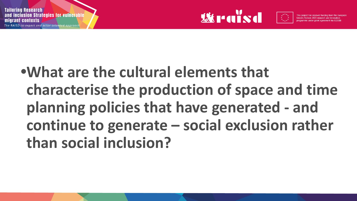



# **•What are the cultural elements that characterise the production of space and time planning policies that have generated - and continue to generate – social exclusion rather than social inclusion?**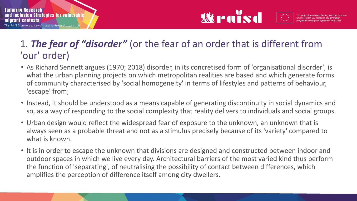



## 1. *The fear of "disorder"* (or the fear of an order that is different from 'our' order)

- As Richard Sennett argues (1970; 2018) disorder, in its concretised form of 'organisational disorder', is what the urban planning projects on which metropolitan realities are based and which generate forms of community characterised by 'social homogeneity' in terms of lifestyles and patterns of behaviour, 'escape' from;
- Instead, it should be understood as a means capable of generating discontinuity in social dynamics and so, as a way of responding to the social complexity that reality delivers to individuals and social groups.
- Urban design would reflect the widespread fear of exposure to the unknown, an unknown that is always seen as a probable threat and not as a stimulus precisely because of its 'variety' compared to what is known.
- It is in order to escape the unknown that divisions are designed and constructed between indoor and outdoor spaces in which we live every day. Architectural barriers of the most varied kind thus perform the function of 'separating', of neutralising the possibility of contact between differences, which amplifies the perception of difference itself among city dwellers.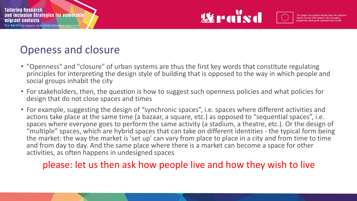



## Openess and closure

- "Openness" and "closure" of urban systems are thus the first key words that constitute regulating principles for interpreting the design style of building that is opposed to the way in which people and social groups inhabit the city
- For stakeholders, then, the question is how to suggest such openness policies and what policies for design that do not close spaces and times
- For example, suggesting the design of "synchronic spaces", i.e. spaces where different activities and actions take place at the same time (a bazaar, a square, etc.) as opposed to "sequential spaces", i.e. spaces where everyone goes to perform the same activity (a stadium, a theatre, etc.). Or the design of "multiple" spaces, which are hybrid spaces that can take on different identities - the typical form being the market: the way the market is 'set up' can vary from place to place in a city and from time to time and from day to day. And the same place where there is a market can become a space for other activities, as often happens in undesigned spaces

#### please: let us then ask how people live and how they wish to live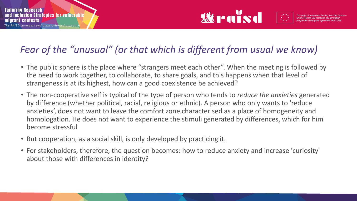

## *Fear of the "unusual" (or that which is different from usual we know)*

- The public sphere is the place where "strangers meet each other". When the meeting is followed by the need to work together, to collaborate, to share goals, and this happens when that level of strangeness is at its highest, how can a good coexistence be achieved?
- The non-cooperative self is typical of the type of person who tends to *reduce the anxieties* generated by difference (whether political, racial, religious or ethnic). A person who only wants to 'reduce anxieties', does not want to leave the comfort zone characterised as a place of homogeneity and homologation. He does not want to experience the stimuli generated by differences, which for him become stressful
- But cooperation, as a social skill, is only developed by practicing it.
- For stakeholders, therefore, the question becomes: how to reduce anxiety and increase 'curiosity' about those with differences in identity?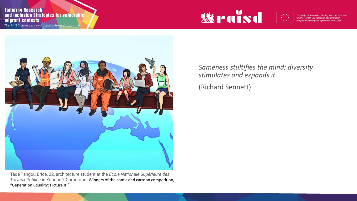**Tailoring Research** and inclusion Strategies for vulnerable migrant contexts The RAISD co-expert and actor-oriented approach



This project has received funding from the European Union's Horizon 2020 research and innovation programme under grant agreement No 82268



Tadé Tangou Brice, 22, architecture student at the *École Nationale Supérieure des Travaux Publics* in Yaoundé, Cameroon. Winners of the comic and cartoon competition, "Generation Equality: Picture It!"

*Sameness stultifies the mind; diversity stimulates and expands it*  (Richard Sennett)